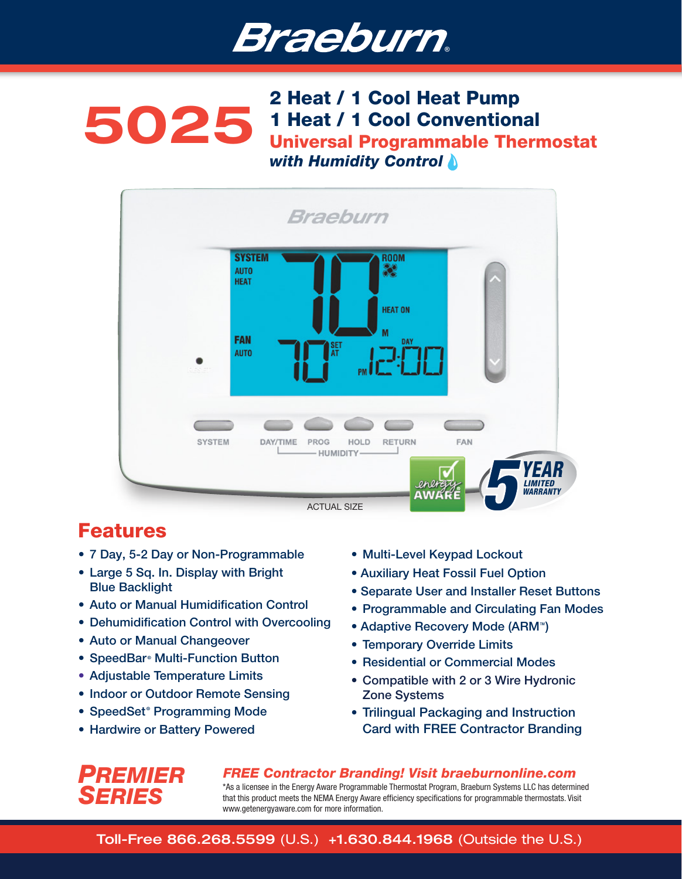

# 2 Heat / 1 Cool Heat Pump<br>1 Heat / 1 Cool Convention 1 Heat / 1 Cool Conventional Universal Programmable Thermostat *with Humidity Control*



# Features

- 7 Day, 5-2 Day or Non-Programmable
- Large 5 Sq. In. Display with Bright Blue Backlight
- Auto or Manual Humidification Control
- Dehumidification Control with Overcooling
- Auto or Manual Changeover
- SpeedBar<sup>®</sup> Multi-Function Button
- Adiustable Temperature Limits
- Indoor or Outdoor Remote Sensing
- SpeedSet<sup>®</sup> Programming Mode
- Hardwire or Battery Powered
- Multi-Level Keypad Lockout
- Auxiliary Heat Fossil Fuel Option
- Separate User and Installer Reset Buttons
- Programmable and Circulating Fan Modes
- Adaptive Recovery Mode (ARM<sup>®</sup>)
- Temporary Override Limits
- Residential or Commercial Modes
- Compatible with 2 or 3 Wire Hydronic Zone Systems
- Trilingual Packaging and Instruction Card with FREE Contractor Branding



*FREE Contractor Branding! Visit braeburnonline.com*

\*As a licensee in the Energy Aware Programmable Thermostat Program, Braeburn Systems LLC has determined that this product meets the NEMA Energy Aware efficiency specifications for programmable thermostats. Visit www.getenergyaware.com for more information.

Toll-Free 866.268.5599 (U.S.) +1.630.844.1968 (Outside the U.S.)